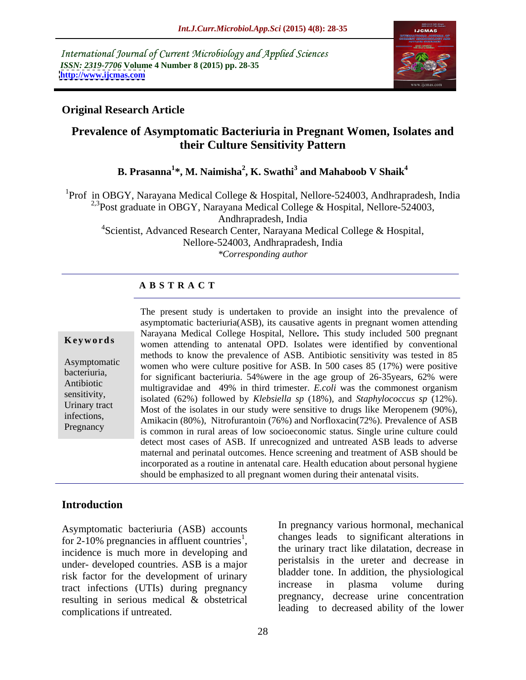International Journal of Current Microbiology and Applied Sciences *ISSN: 2319-7706* **Volume 4 Number 8 (2015) pp. 28-35 <http://www.ijcmas.com>**



### **Original Research Article**

# **Prevalence of Asymptomatic Bacteriuria in Pregnant Women, Isolates and their Culture Sensitivity Pattern**

**B. Prasanna<sup>1</sup> \*, M. Naimisha<sup>2</sup> , K. Swathi<sup>3</sup> and Mahaboob V Shaik<sup>4</sup>**

<sup>1</sup>Prof in OBGY, Narayana Medical College & Hospital, Nellore-524003, Andhrapradesh, India <sup>2,3</sup>Post graduate in OBGY, Narayana Medical College & Hospital, Nellore-524003,

Andhrapradesh, India

<sup>4</sup>Scientist, Advanced Research Center, Narayana Medical College & Hospital, Nellore-524003, Andhrapradesh, India *\*Corresponding author*

### **A B S T R A C T**

Pregnancy

The present study is undertaken to provide an insight into the prevalence of asymptomatic bacteriuria(ASB), its causative agents in pregnant women attending Narayana Medical College Hospital, Nellore**.** This study included 500 pregnant **Keywords** women attending to antenatal OPD. Isolates were identified by conventional methods to know the prevalence of ASB. Antibiotic sensitivity was tested in 85 Asymptomatic women who were culture positive for ASB. In 500 cases 85 (17%) were positive bacteriuria,<br>for significant bacteriuria. 54% were in the age group of 26-35years, 62% were Antibiotic multigravidae and 49% in third trimester. *E.coli* was the commonest organism isolated (62%) followed by *Klebsiella sp* (18%), and *Staphylococcus sp* (12%). sensitivity, Urinary tract Most of the isolates in our study were sensitive to drugs like Meropenem  $(90\%)$ , infections,<br>Amikacin (80%), Nitrofurantoin (76%) and Norfloxacin(72%). Prevalence of ASB is common in rural areas of low socioeconomic status. Single urine culture could detect most cases of ASB. If unrecognized and untreated ASB leads to adverse maternal and perinatal outcomes. Hence screening and treatment of ASB should be incorporated as a routine in antenatal care. Health education about personal hygiene should be emphasized to all pregnant women during their antenatal visits.

### **Introduction**

Asymptomatic bacteriuria (ASB) accounts for 2-10% pregnancies in affluent countries<sup>1</sup>, under- developed countries. ASB is a major risk factor for the development of urinary<br>treat infections (UTIs) during programs in crease in plasma volume during tract infections (UTIs) during pregnancy resulting in serious medical & obstetrical complications if untreated. leading to decreased ability of the lower

for 2-10% pregnancies in affluent countries<sup>1</sup>,<br>incidence is much more in developing and the urinary tract like dilatation, decrease in In pregnancy various hormonal, mechanical changes leads to significant alterations in the urinary tract like dilatation, decrease in peristalsis in the ureter and decrease in bladder tone. In addition, the physiological increase in plasma volume during pregnancy, decrease urine concentration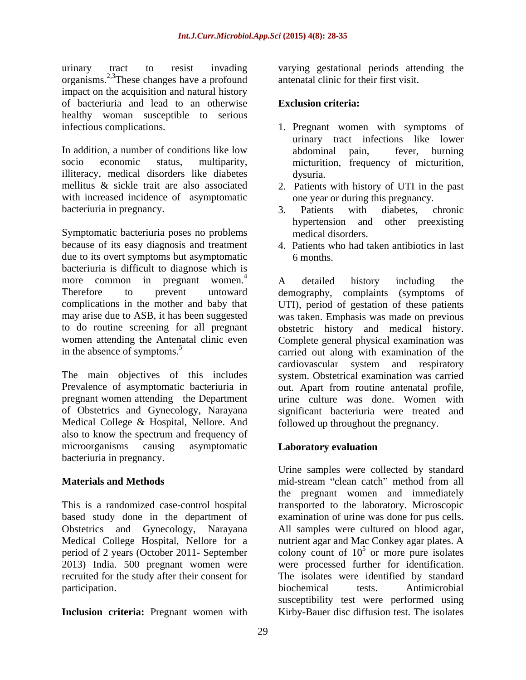urinary tract to resist invading varying gestational periods attending the organisms.2,3These changes have a profound impact on the acquisition and natural history of bacteriuria and lead to an otherwise healthy woman susceptible to serious infectious complications. infectious complications. 1. Pregnant women with symptoms of

illiteracy, medical disorders like diabetes with increased incidence of asymptomatic bacteriuria in pregnancy. 23. Patients with diabetes, chronic

Symptomatic bacteriuria poses no problems because of its easy diagnosis and treatment due to its overt symptoms but asymptomatic 6 months. bacteriuria is difficult to diagnose which is more common in pregnant women. $\frac{4}{1}$  A detailed history including the

pregnant women attending the Department Medical College & Hospital, Nellore. And also to know the spectrum and frequency of microorganisms causing asymptomatic **Laboratory evaluation** bacteriuria in pregnancy.

participation. biochemical tests. Antimicrobial

**Inclusion criteria:** Pregnant women with Kirby-Bauer disc diffusion test. The isolates

antenatal clinic for their first visit.

### **Exclusion criteria:**

- In addition, a number of conditions like low abdominal pain, fever, burning socio economic status, multiparity, micturition, frequency of micturition, urinary tract infections like lower abdominal pain, fever, burning dysuria.
- mellitus & sickle trait are also associated 2. Patients with history of UTI in the past one year or during this pregnancy.
	- 3. Patients with diabetes, chronic hypertension and other preexisting medical disorders.
	- 4. Patients who had taken antibiotics in last 6 months.

Therefore to prevent untoward demography, complaints (symptoms of complications in the mother and baby that UTI), period of gestation of these patients may arise due to ASB, it has been suggested was taken. Emphasis was made on previous to do routine screening for all pregnant obstetric history and medical history. women attending the Antenatal clinic even Complete general physical examination was in the absence of symptoms.<sup>5</sup> carried out along with examination of the The main objectives of this includes system. Obstetrical examination was carried Prevalence of asymptomatic bacteriuria in out. Apart from routine antenatal profile, of Obstetrics and Gynecology, Narayana significant bacteriuria were treated and A detailed history including the cardiovascular system and respiratory urine culture was done. Women with followed up throughout the pregnancy.

### **Laboratory evaluation**

**Materials and Methods mid-stream** "clean catch" method from all This is a randomized case-control hospital transported to the laboratory. Microscopic based study done in the department of examination of urine was done for pus cells. Obstetrics and Gynecology, Narayana All samples were cultured on blood agar, Medical College Hospital, Nellore for a nutrient agar and Mac Conkey agar plates. A period of 2 years (October 2011- September colony count of  $10^5$  or more pure isolates 2013) India. 500 pregnant women were were processed further for identification. recruited for the study after their consent for The isolates were identified by standard Urine samples were collected by standard the pregnant women and immediately biochemical tests. Antimicrobial susceptibility test were performed using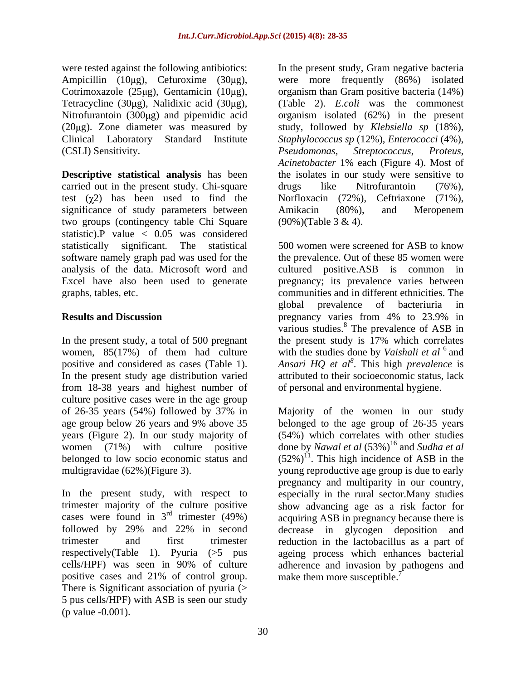Ampicillin  $(10\mu g)$ , Cefuroxime  $(30\mu g)$ , Nitrofurantoin  $(300\mu g)$  and pipemidic acid (CSLI) Sensitivity.  $Pseudomonas, Streptococcus, Proteus,$ 

**Descriptive statistical analysis** has been carried out in the present study. Chi-square drugs like Nitrofurantoin (76%), test  $(\chi^2)$  has been used to find the significance of study parameters between Amikacin (80%), and Meropenem two groups (contingency table Chi Square statistic).P value  $\langle 0.05 \rangle$  was considered

women, 85(17%) of them had culture from 18-38 years and highest number of culture positive cases were in the age group years (Figure 2). In our study majority of<br>women (71%) with culture positive

positive cases and 21% of control group. There is Significant association of pyuria (> 5 pus cells/HPF) with ASB is seen our study (p value -0.001).

were tested against the following antibiotics: In the present study, Gram negative bacteria Cotrimoxazole (25µg), Gentamicin (10µg), organism than Gram positive bacteria (14%) Tetracycline (30µg), Nalidixic acid (30µg), (Table 2). *E.coli* was the commonest (20μg). Zone diameter was measured by study, followed by *Klebsiella sp* (18%), Clinical Laboratory Standard Institute *Staphylococcus sp* (12%), *Enterococci* (4%), were more frequently (86%) isolated organism isolated (62%) in the present *Pseudomonas, Streptococcus*, *Proteus, Acinetobacter* 1% each (Figure 4). Most of the isolates in our study were sensitive to drugs like Nitrofurantoin (76%), Norfloxacin (72%), Ceftriaxone (71%), Amikacin (80%), and Meropenem (90%)(Table 3 & 4).

statistically significant. The statistical 500 women were screened for ASB to know software namely graph pad was used for the the prevalence. Out of these 85 women were analysis of the data. Microsoft word and cultured positive.ASB is common in Excel have also been used to generate pregnancy; its prevalence varies between graphs, tables, etc. communities and in different ethnicities. The **Results and Discussion regnancy** varies from 4% to 23.9% in In the present study, a total of 500 pregnant the present study is 17% which correlates positive and considered as cases (Table 1). *Ansari HQ et al<sup>8</sup>* . This high *prevalence* is In the present study age distribution varied attributed to their socioeconomic status, lack global prevalence of bacteriuria in pregnancy varies from 4% to 23.9% in various studies.<sup>8</sup> The prevalence of ASB in with the studies done by *Vaishali et al* 6 and of personal and environmental hygiene.

of 26-35 years (54%) followed by 37% in age group below 26 years and 9% above 35 belonged to the age group of 26-35 years women (71%) with culture positive done by *Nawal et al* (53%)<sup>16</sup> and *Sudha et al* belonged to low socio economic status and  $(52\%)^{11}$ . This high incidence of ASB in the multigravidae (62%)(Figure 3). young reproductive age group is due to early In the present study, with respect to especially in the rural sector. Many studies trimester majority of the culture positive show advancing age as a risk factor for cases were found in  $3<sup>rd</sup>$  trimester (49%) acquiring ASB in pregnancy because there is followed by 29% and 22% in second decrease in glycogen deposition and trimester and first trimester reduction in the lactobacillus as apart of respectively(Table 1). Pyuria (>5 pus ageing process which enhances bacterial cells/HPF) was seen in 90% of culture adherence and invasion by pathogens and Majority of the women in our study (54%) which correlates with other studies pregnancy and multiparity in our country, make them more susceptible.<sup>7</sup>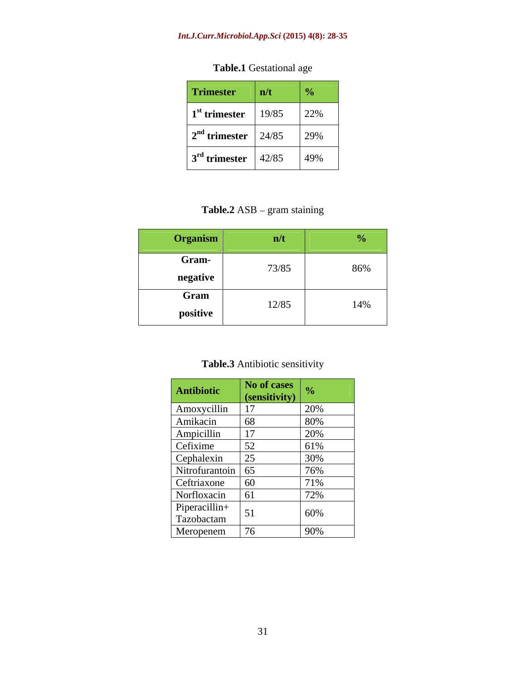### *Int.J.Curr.Microbiol.App.Sci* **(2015) 4(8): 28-35**

| <b>Trimester</b> $\vert n/t \vert$                           | $\overline{a}$ |
|--------------------------------------------------------------|----------------|
| $\frac{1^{\text{st}}}{22\%}$ 19/85 22%                       |                |
| $2^{nd}$ trimester $\begin{array}{ l} 24/85 \end{array}$ 29% |                |
| $3^{\text{rd}}$ trimester $\left  \frac{42}{85} \right $ 49% |                |

**Table.1** Gestational age

# **Table.2** ASB – gram staining

| raanien<br>$\sim$ Organic                                                                                                 |                                                                                 |     |
|---------------------------------------------------------------------------------------------------------------------------|---------------------------------------------------------------------------------|-----|
| <b>Gram-</b><br>the control of the control of the con-                                                                    | 73/85                                                                           | 86% |
| negative<br>Gram                                                                                                          | the contract of the contract of the contract of the contract of the contract of |     |
| positive<br>1000 - 1000 - 1000 - 1000 - 1000 - 1000 - 1000 - 1000 - 1000 - 1000 - 1000 - 1000 - 1000 - 1000 - 1000 - 1000 | 12/85<br>$1/2$ 0.                                                               | 14% |

| <b>Table.3</b> Antibiotic sensitivity |  |
|---------------------------------------|--|
|                                       |  |

|                                                                                                                                                                                           | No of cases   |                           |
|-------------------------------------------------------------------------------------------------------------------------------------------------------------------------------------------|---------------|---------------------------|
| Antibiotic                                                                                                                                                                                | (sensitivity) |                           |
|                                                                                                                                                                                           |               | 20%                       |
|                                                                                                                                                                                           |               |                           |
|                                                                                                                                                                                           |               | 80 <sup>s</sup>           |
|                                                                                                                                                                                           |               | 20%                       |
|                                                                                                                                                                                           |               | 61%                       |
|                                                                                                                                                                                           |               | 30%                       |
|                                                                                                                                                                                           |               |                           |
|                                                                                                                                                                                           |               | 76%                       |
|                                                                                                                                                                                           |               |                           |
| Amoxycillin 17<br>Amikacin 68<br>Ampicillin 17<br>Cefixime 52<br>Cephalexin 25<br>Nitrofurantoin 65<br>Ceftriaxone 60<br>Norfloxacin 61<br>Piperacillin+<br>Tazobactam 76<br>Meropenem 76 |               | 70 <sub>0</sub><br>$12\%$ |
|                                                                                                                                                                                           |               |                           |
|                                                                                                                                                                                           |               | 60%                       |
|                                                                                                                                                                                           |               |                           |
|                                                                                                                                                                                           |               | 90%                       |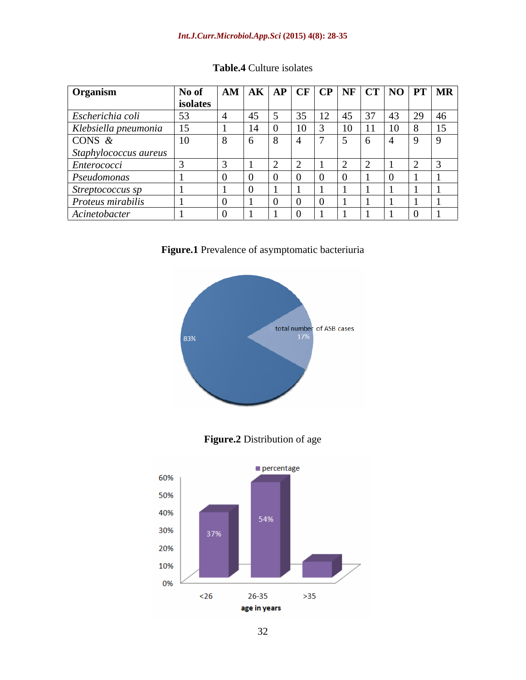### *Int.J.Curr.Microbiol.App.Sci* **(2015) 4(8): 28-35**

| <b>Organism</b>                       |          |              |  | $\vert$ No of $\vert$ AM $\vert$ AK $\vert$ AP $\vert$ CF $\vert$ CP $\vert$ NF $\vert$ CT $\vert$ NO $\vert$ PT $\vert$ MR |  |
|---------------------------------------|----------|--------------|--|-----------------------------------------------------------------------------------------------------------------------------|--|
|                                       | isolates |              |  |                                                                                                                             |  |
| Escherichia coli                      |          |              |  |                                                                                                                             |  |
| Klebsiella pneumonia                  |          |              |  |                                                                                                                             |  |
| CONS $\&$                             | $-10$    | $\mathbf{v}$ |  |                                                                                                                             |  |
| Staphylococcus aureus                 |          |              |  |                                                                                                                             |  |
| Enterococci                           |          |              |  |                                                                                                                             |  |
| Pseudomonas                           |          |              |  |                                                                                                                             |  |
|                                       |          |              |  |                                                                                                                             |  |
| Streptococcus sp<br>Proteus mirabilis |          |              |  |                                                                                                                             |  |
| Acinetobacter                         |          |              |  |                                                                                                                             |  |

## **Table.4** Culture isolates







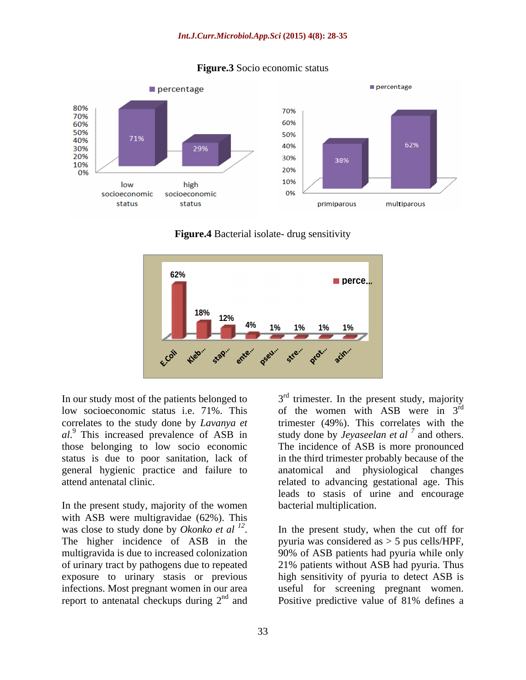

### **Figure.3** Socio economic status

**Figure.4** Bacterial isolate- drug sensitivity



In our study most of the patients belonged to  $3<sup>rd</sup>$  trimester. In the present study, majority low socioeconomic status i.e. 71%. This correlates to the study done by *Lavanya et* trimester (49%). This correlates with the  $aI$ <sup>9</sup>. This increased prevalence of ASB in study done by *Jeyaseelan et al*  $^7$  and others. those belonging to low socio economic The incidence of ASB is more pronounced status is due to poor sanitation, lack of in the third trimester probably because of the general hygienic practice and failure to

In the present study, majority of the women with ASB were multigravidae (62%). This was close to study done by *Okonko et al <sup>12</sup>* was close to study done by *Okonko et al* <sup>12</sup>. In the present study, when the cut off for<br>The higher incidence of ASB in the pyuria was considered as > 5 pus cells/HPF, multigravida is due to increased colonization 90% of ASB patients had pyuria while only of urinary tract by pathogens due to repeated 21% patients without ASB had pyuria. Thus exposure to urinary stasis or previous high sensitivity of pyuria to detect ASB is infections. Most pregnant women in our area useful for screening pregnant women. report to antenatal checkups during  $2^{nd}$  and Positive predictive value of 81% defines a

attend antenatal clinic. related to advancing gestational age. This of the women with ASB were in  $3<sup>rd</sup>$ rd and a structure of the structure of the structure of the structure of the structure of the structure of the and others. anatomical and physiological changes leads to stasis of urine and encourage bacterial multiplication.

> In the present study, when the cut off for pyuria was considered as > 5 pus cells/HPF, Positive predictive value of 81% defines a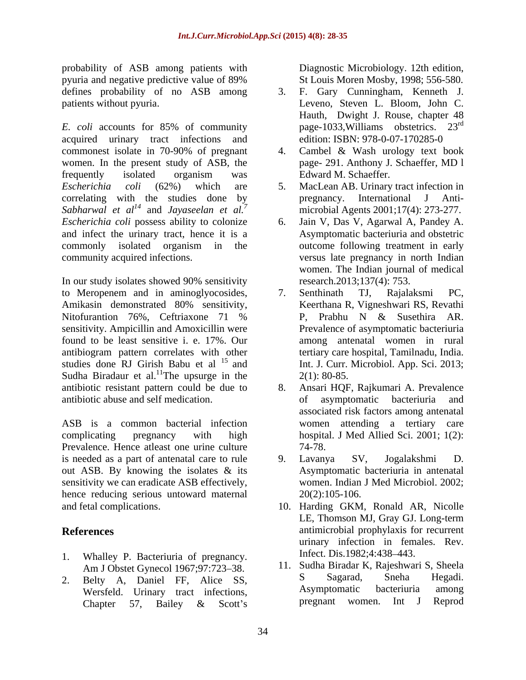probability of ASB among patients with pyuria and negative predictive value of 89% defines probability of no ASB among 3.

acquired urinary tract infections and commonest isolate in 70-90% of pregnant women. In the present study of ASB, the page-291. Anthony J. Schaeffer, MD 1 frequently isolated organism was Edward M. Schaeffer. *Escherichia coli* (62%) which are 5. MacLean AB. Urinary tract infection in correlating with the studies done by pregnancy. International J Anti-*Sabharwal et*  $al^{14}$  **and** *Javaseelan et*  $al^{7}$ *Escherichia coli* possess ability to colonize and infect the urinary tract, hence it is a commonly isolated organism in the community acquired infections. versus late pregnancy in north Indian

In our study isolates showed 90% sensitivity to Meropenem and in aminoglyocosides, 7. Senthinath TJ, Rajalaksmi PC, Amikasin demonstrated 80% sensitivity, sensitivity. Ampicillin and Amoxicillin were found to be least sensitive i. e. 17%. Our antibiogram pattern correlates with other studies done RJ Girish Babu et al  $15$  and Sudha Biradaur et al.<sup>11</sup>The upsurge in the  $2(1)$ : 80-85. antibiotic resistant pattern could be due to antibiotic abuse and self medication.

ASB is a common bacterial infection women attending a tertiary care Prevalence. Hence atleast one urine culture  $74-78$ . is needed as a part of antenatal care to rule b  $\qquad$  9. Lavanya SV, Jogalakshmi D. out ASB. By knowing the isolates & its sensitivity we can eradicate ASB effectively, hence reducing serious untoward maternal  $20(2):105-106$ .

- 1. Whalley P. Bacteriuria of pregnancy.
- 2. Belty A, Daniel FF, Alice SS, Sagarad, Sneha Hegadi.<br>Wersfeld Urinary tract infections Asymptomatic bacteriuria among Chapter 57, Bailey & Scott's pregnant women. Int J Reprod

Diagnostic Microbiology. 12th edition, St Louis Moren Mosby, 1998; 556-580.

- patients without pyuria. Leveno, Steven L. Bloom, John C. *E. coli* accounts for 85% of community page-1033, Williams obstetrics. 23<sup>rd</sup> 3. F. Gary Cunningham, Kenneth J. Hauth, Dwight J. Rouse, chapter 48 page-1033,Williams obstetrics. 23 rd edition: ISBN: 978-0-07-170285-0
	- Cambel & Wash urology text book page- 291. Anthony J. Schaeffer, MD l Edward M. Schaeffer.
	- and *Jayaseelan et al.<sup>7</sup>* microbial Agents 2001;17(4): 273-277. pregnancy. International
		- 6. Jain V, Das V, Agarwal A, Pandey A. Asymptomatic bacteriuria and obstetric outcome following treatment in early women. The Indian journal of medical research.2013;137(4): 753.
- Nitofurantion 76%, Ceftriaxone 71 % P, Prabhu N & Susethira AR. 7. Senthinath TJ, Rajalaksmi PC, Keerthana R, Vigneshwari RS, Revathi P, Prabhu N & Susethira AR. Prevalence of asymptomatic bacteriuria among antenatal women in rural tertiary care hospital, Tamilnadu, India. Int. J. Curr. Microbiol. App. Sci. 2013;  $2(1)$ : 80-85.
- complicating pregnancy with high hospital. J Med Allied Sci. 2001; 1(2): 8. Ansari HQF, Rajkumari A. Prevalence of asymptomatic bacteriuria and associated risk factors among antenatal women attending a tertiary 74-78.
	- 9. Lavanya SV, Jogalakshmi D. Asymptomatic bacteriuria in antenatal women. Indian J Med Microbiol. 2002;  $20(2):105-106.$
- and fetal complications. 10. Harding GKM, Ronald AR, Nicolle **References** antimicrobial prophylaxis for recurrent LE, Thomson MJ, Gray GJ. Long-term urinary infection in females. Rev. Infect. Dis.1982;4:438 443.
	- Am J Obstet Gynecol 1967;97:723–38. II. Sudha Biradar K, Rajeshwari S, Sheela<br>Relty A. Daniel FF. Alice SS. Sagarad, Sheha Hegadi. Wersfeld. Urinary tract infections, a and Asymptomatic bacterium among<br>Chapter 57 Bailey & Scott's pregnant women. Int J Reprod 11. Sudha Biradar K, Rajeshwari S, Sheela S Sagarad, Sneha Hegadi. Asymptomatic bacteriuria among pregnant women. Int J Reprod